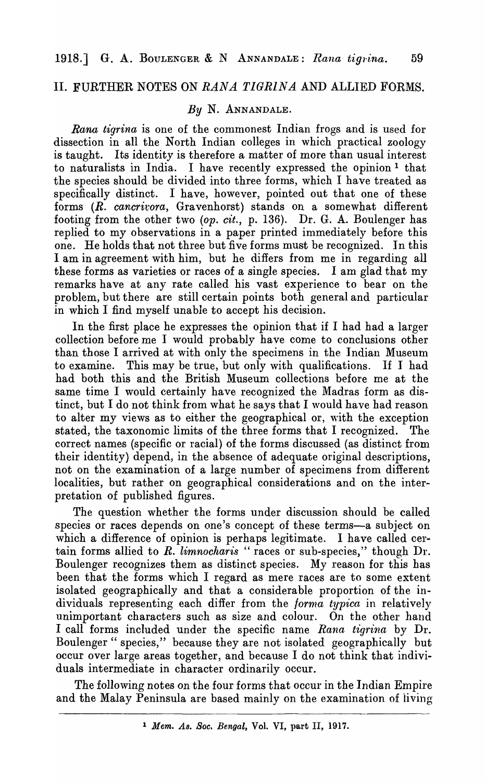# II. FURTHER NOTES ON *RANA TIGRINA* AND ALLIED FORMS.

#### *By* N. ANNANDALE.

*Rana tigrina* is one of the commonest Indian frogs and is used for dissection in all the North Indian colleges in which practical zoology is taught. Its identity is therefore a matter of more than usual interest to naturalists in India. I have recently expressed the opinion 1 that the species should be divided into three forms, which I have treated as specifically distinct. I have, however, pointed out that one of these forms *(R. cancrivora,* Gravenhorst) stands on a somewhat different footing from the other two *(op. cit.,* p. 136). Dr. G. A. Boulenger has replied to my observations in a paper printed immediately before this one. He holds that not three but five forms must be recognized. In this I am in agreement with him, but he differs from me in regarding all these forms as varieties or races of a single species. I am glad that my remarks have at any rate called his vast experience to bear on the problem, but there are still certain points both general and particular in which I find myself unable to accept his decision.

In the first place he expresses the opinion that if I had had a larger collection before me I would probably have come to conclusions other than those I arrived at with only the specimens in the Indian Museum to examine. This may be true, but only with qualifications. If I had had both this and the British Museum collections before me at the same time I would certainly have recognized the Madras form as distinct, but I do not think from what he says that I would have had reason to alter my views as to either the geographical or, with the exception stated, the taxonomic limits of the three forms that I recognized. The correct names (specific or racial) of the forms discussed (as distinct from their identity) depend, in the absence of adequate original descriptions, not on the examination of a large number of specimens from different localities, but rather on geographical considerations and on the interpretation of published figures.

The question whether the forms under discussion should be called species or races depends on one's concept of these terms-a subject on which a difference of opinion is perhaps legitimate. I have called certain forms allied to *R. limnocharis* " races or sub-species," though Dr. Boulenger recognizes them as distinct species. My reason for this has been that the forms which I regard as mere races are to some extent isolated geographically and that a considerable proportion of the individuals representing each differ from the */orrna typica* in relatively unimportant characters such as size and colour. On the other hand I call forms included under the specific name *Rana tigrina* by Dr. Boulenger " species," because they are not isolated geographically but occur over large areas together, and because I do not think that individuals intermediate in character ordinarily occur.

The following notes on the four forms that occur in the Indian Empire and the Malay Peninsula are based mainly on the examination of iiving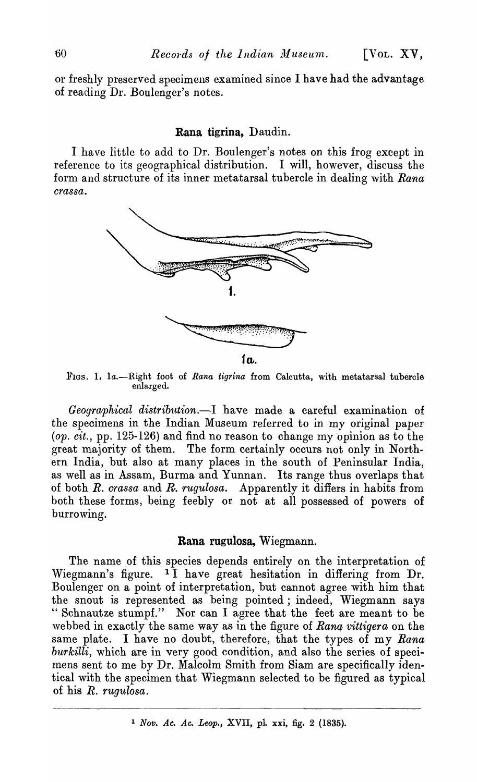or freshly preserved specimens examined since I have had the advantage of reading Dr. Boulenger's notes.

#### Rana tigrina, Daudin.

I have little to add to Dr. Boulenger's notes on this frog except in reference to its geographical distribution. I will, however, discuss the form and structure of its inner metatarsal tubercle in dealing with *Rana crassa.* 



FIGs. 1, la.-Hight foot of *Rana tigrina* from Calcutta, with metatarsal tubercle enlarged.

*Geographical distribution.-I* have made a careful examination of the specimens in the Indian Museum referred to in my original paper  $(op. cit., pp. 125-126)$  and find no reason to change my opinion as to the great majority of them. The form certainly occurs not only in Northern India, but also at many places in the south of Peninsular India, as well as in Assam, Burma and Yunnan. Its range thus overlaps that of both *R. crassa* and *R. rugulosa.* Apparently it differs in habits from both these forms, being feebly or not at all possessed of powers of burrowing.

# Rana rugulosa, Wiegmann.

The name of this species depends entirely on the interpretation of Wiegmann's figure. 1 I have great hesitation in differing from Dr. Boulenger on a point of interpretation, but cannot agree with him that the snout is represented as being pointed; indeed, Wiegmann says " Schnautze stumpf." Nor can I agree that the feet are meant to be ,vebbed in exactly the same way as in the figure of *Rana vittigera* on the same plate. I have no doubt, therefore, that the types of my *Rana burkilli,* which are in very good condition, and also the series of specimens sent to me by Dr. Malcolm Smith from Siam are specifically identical with the specimen that Wiegmann selected to be figured as typical of his *R. rugulosa.* 

<sup>1</sup> *Nov. Ac. Ac. Leop.,* XVII, pl. xxi, fig. 2 (1835).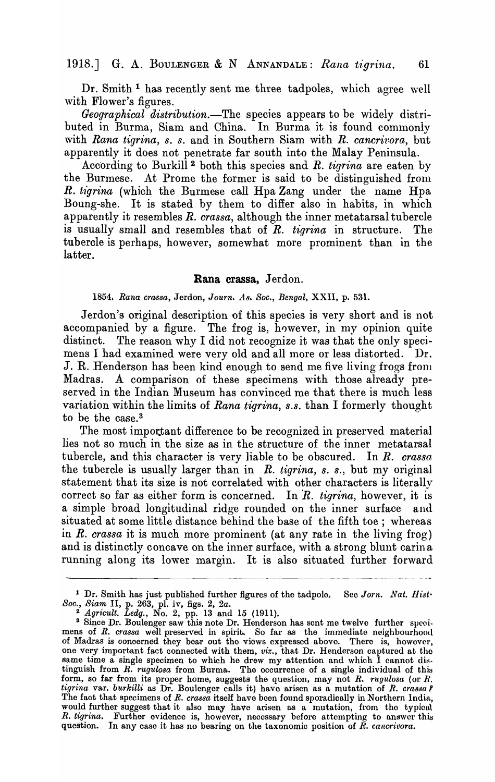# 1918.J G. A. BOULENGER & N ANNANDALE: *Rana t1:grina. 61*

Dr. Smith<sup>1</sup> has recently sent me three tadpoles, which agree well with Flower's figures.

*Geographical distribution.-The* species appears to be widely distributed in Burma, Siam and China. In Burma it is found commonly with *Rana tigrina, s. s.* and in Southern Siam with *R. cancrivora*, but apparently it does not penetrate far south into the Malay Peninsula.

According to Burkill<sup>2</sup> both this species and *R. tigrina* are eaten by the Burmese. At Prome the former is said to be distinguished from *R. h"grina* (which the Burmese call Hpa Zang under the name Hpa Boung-she. It is stated by them to differ also in habits, in which apparently it resembles *R. crassa,* although the inner metatarsal tubercle is usually small and resembles that of *R. tigrina* in structure. The tubercle is perhaps, however, somewhat more prominent than in the latter.

## Rana crassa, Jerdon.

### *1854. Rana crassa,* Jerdon, *Jou'rn. A8. Soc., Bengal,* XXII, p. 53l.

Jerdon's original description of this species is very short and is not accompanied by a figure. The frog is, however, in my opinion quite distinct. The reason why I did not recognize it was that the only specimens I had examined were very old and all more or less distorted. Dr. J. R. Henderson has been kind enough to send me five living frogs fronl Madras. A comparison of these specimens with those already preserved in the Indian Museum has convinced me that there is much less variation within the limits of *Rana tigrina, s.s.* than I formerly thought to be the case.<sup>3</sup>

The most important difference to be recognized in preserved material lies not so much in the size as in the structure of the inner metatarsal tubercle, and this character is very liable to be obscured. In *R. crassa*  the tubercle is usually larger than in *R. tigrina, s. s.,* but my original statement that its size is not correlated with other characters is literallv correct so far as either form is concerned. In  $R$ . tigrina, however, it is a simple broad longitudinal ridge rounded on the inner surface and situated at some little distance behind the base of the fifth toe; whereas in *R. crassa* it is much more prominent (at any rate in the living frog) and is distinctly concave on the inner surface, with a strong blunt carina running along its lower margin. It is also situated further forward

<sup>1</sup>Dr. Smith has just published further figures of the tadpole. See *Jorn. Nat. Hist· Soc., Siam* II, p. 263, pI. iv, figs. 2, *2a.* 

<sup>2</sup>*Agricult. Ledg.,* No.2, pp. 13 and 15 (1911).

<sup>&</sup>lt;sup>3</sup> Since Dr. Boulenger saw this note Dr. Henderson has sent me twelve further specimens of *R. crassa* well preserved in spirit. So far as the immediate neighbourhood of Madras is ooncerned they bear out the views expressed abovo. There is, howevcr, one very important fact connected with them, *viz.,* that Dr. Henderson captured at tho Same time a single specimen to which he drew my attention and which I cannot distinguish from *R. rugulosa* from Burma. The occurrence of a single individual of this form, so far from its proper home, suggests the question, may not *R. rugulosa* (or *R. tigrina* var. *burkilli* as Dr. Boulenger calls it) have arisen as a mutation of *R. crassa?* The faot that specimens of  $R.$  crassa itself have been found sporadically in Northern India, would further suggest that it also may have arisen as a mutation, from the typical *R. tigrina.* Further evidence is, however, necessary before attempting to answer this question. In any case it has no bearing on the taxonomic position of *R. cancrivora.*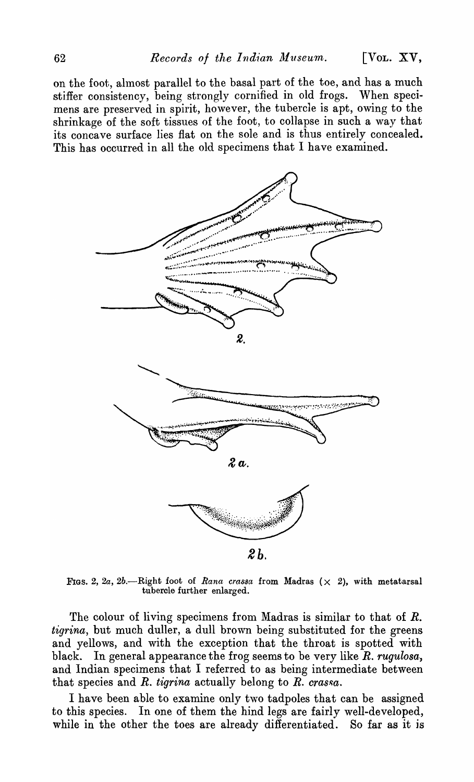on the foot, ahnost parallel to the basal part of the toe, and has a much stiffer consistency, being strongly cornified in old frogs. When specimens are preserved in spirit, however, the tubercle is apt, owing to the shrinkage of the soft tissues of the foot, to collapse in such a way that its concave surface lies fiat on the sole and is thus entirely concealed. This has occurred in all the old specimens that I have examined.



Figs. 2, 2a, 2b.--Right foot of *Rana crassa* from Madras  $(x, 2)$ , with metatarsal tubercle further enlarged.

The colour of living specimens from Madras is similar to that of *R*. *tigrina*, but much duller, a dull brown being substituted for the greens and yellows, and with the exception that the throat is spotted with black. In general appearance the frog seems to be very like *R. rugulosa,*  and Indian specimens that I referred to as being intermediate between that species and  $R$ . *tigrina* actually belong to  $R$ . *crassa*.

I have been able to examine only two tadpoles that can be assigned to this species. In one of them the hind legs are fairly well-developed, while in the other the toes are already differentiated. So far as it is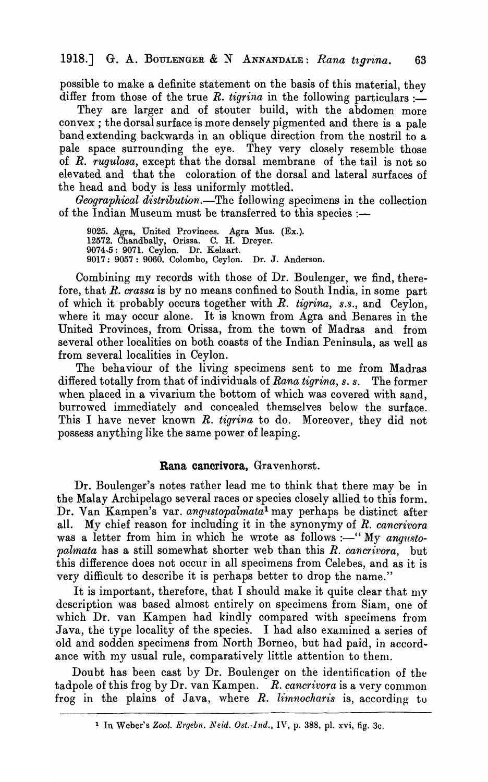possible to make a definite statement on the basis of this material, they differ from those of the true *R. tigrina* in the following particulars :-

They are larger and of stouter build, with the abdomen more convex; the dorsal surface is more densely pigmented and there is a pale band extending backwards in an oblique direction from the nostril to a pale space surrounding the eye. They very closely resemble those of *R. rugulosa,* except that the dorsal membrane of the tail is not so elevated and that the coloration of the dorsal and lateral surfaces of the head and body is less uniformly mottled.

*Geographical distribution.-The* following specimens in the collection of the Indian Museum must be transferred to this species :-

9025. Agra, United Provinces. Agra Mus. (Ex.). 12572. Chandbally, Orissa. C. H. Dreyer. 9074·5: 9071. Ceylon. Dr. Kelaart. 9017: 9057: 9060. Colombo, Ceylon. Dr. J. Anderson.

Combining my records with those of Dr. Boulenger, we find, therefore, that *R. crassa* is by no means confined to South India, in some part of which it probably occurs together with *R. tigrina*, s.s., and Ceylon, where it may occur alone. It is known from Agra and Benares in the United Provinces, from Orissa, from the town of Madras and from several other localities on both coasts of the Indian Peninsula, as well as from several localities in Ceylon.

The behaviour of the living specimens sent to me from Madras differed totally from that of individuals of *Rana tigrina, s. s.* The former when placed in a vivarium the bottom of which was covered with sand, burrowed immediately and concealed themselves below the surface. This I have never known *R. tigrina* to do. Moreover, they did not possess anything like the same power of leaping.

### Rana cancrivora, Gravenhorst.

Dr. Boulenger's notes rather lead me to think that there may be in the Malay Archipelago several races or species closely allied to this form. Dr. Van Kampen's var. *angustopalmata*<sup>1</sup> may perhaps be distinct after all. My chief reason for including it in the synonymy of *R. cancrivora*  was a letter from him in which he wrote as follows :-" My *angustopalmata* has a still somewhat shorter web than this *R. cancrivora,* but this difference does not occur in all specimens from Celebes, and as it is very difficult to describe it is perhaps better to drop the name."

It is important, therefore, that I should make it quite clear that  $m\mathbf{v}$ description was based almost entirely on specimens from Siam, one of which Dr. van Kampen had kindly compared with specimens from Java, the type locality of the species. I had also examined a series of old and sodden specimens from North Borneo, but had paid, in accordance with my usual rule, comparatively little attention to them.

Doubt has been cast by Dr. Boulenger on the identification of the tadpole of this frog by Dr. van Kampen. *R. cancrivora* is a very common frog in the plains of Java, where *R. limnocharis* is, according to

<sup>1</sup> In Weber's *Zool. Ergebn. Neid. Ost.-Ind.,* IV, p. 388, pI. xvi, fig. 30.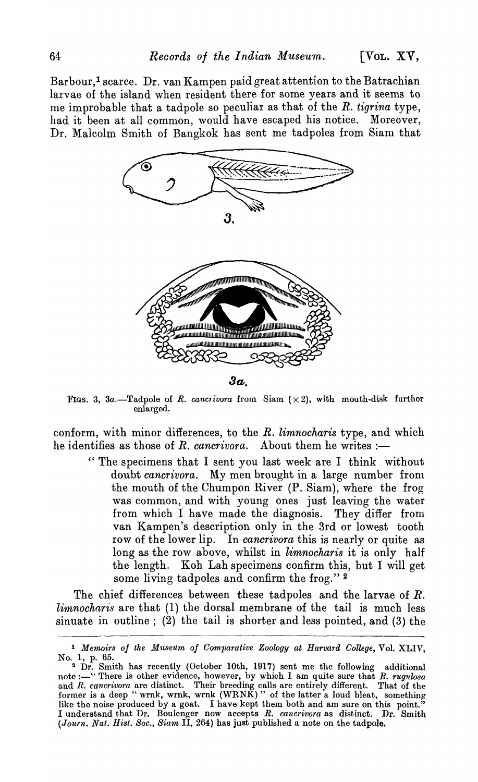Barbour,<sup>1</sup> scarce. Dr. van Kampen paid great attention to the Batrachian larvae of the island when resident there for some years and it seems to lne improbable that a tadpole so peculiar as that of the *R. tigrina* type, had it been at all common, would have escaped his notice. Moreover, Dr. Malcolm Smith of Bangkok has sent me tadpoles from Siam that



FIGS. 3, 3a.-Tadpole of *R. cancrivora* from Siam  $(x 2)$ , with mouth-disk further enlarged.

conform, with minor differences, to the *R. limnocharis* type, and which he identifies as those of *R. cancrivora*. About them he writes :-

" The specimens that I sent you last week are I think without doubt *cancrivora*. My men brought in a large number from the mouth of the Chumpon River (P. Siam), where the frog was common, and with young ones just leaving the water from which I have made the diagnosis. They differ from van Kampen's description only in the3rd or lowest tooth row of the lower lip. In *cancrivora* this is nearly or quite as long as the row above, whilst in *limnocharis* it is only half the length. Koh Lah specimens confirm this, but I will get some living tadpoles and confirm the frog."<sup>2</sup>

The chief differences between these tadpoles and the larvae of R. *limnocharis* are that (1) the dorsal membrane of the tail is much less sinuate in outline; (2) the tail is shorter and less pointed, and (3) the ---------------------------------------------

<sup>1</sup>*Memoirs of the M'ltse'llm of Comparative Zoology at Harvard College,* Vol. XLIV, No.1, p. 65.

<sup>2</sup> Dr. Smith has recently (October lOth, 1917) sent me the following additional note :- "There is other evidence, however, by which I am quite sure that *R. rugulosa* and *R. cancrivora* are distinct. Their breeding calls are entirely different. That of the former is a deep " wrnk, wrnk, wrnk  $(WR N\tilde{K})$ " of the latter a loud bleat, something like the noise produced by a goat. I have kept them both and am sure on this point." I understand that Dr. Boulenger now accepts *R. cancrivora* as distinct. Dr. Smith (Journ. Nat. Hist. Soc., Siam II, 264) has just published a note on the tadpole.